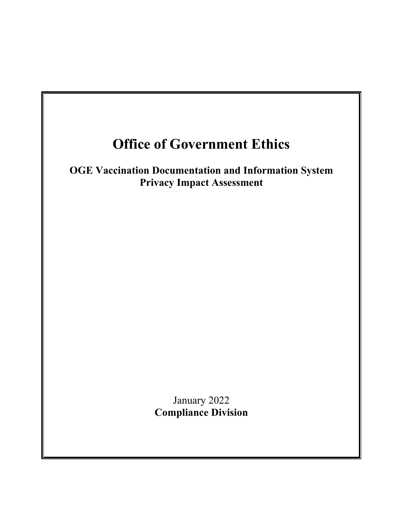# **Office of Government Ethics**

**OGE Vaccination Documentation and Information System Privacy Impact Assessment**

> January 2022 **Compliance Division**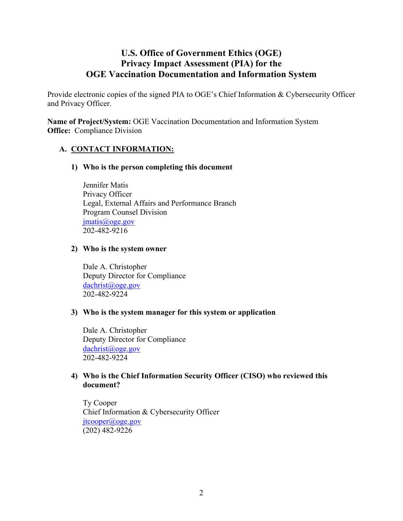## **U.S. Office of Government Ethics (OGE) Privacy Impact Assessment (PIA) for the OGE Vaccination Documentation and Information System**

Provide electronic copies of the signed PIA to OGE's Chief Information & Cybersecurity Officer and Privacy Officer.

**Name of Project/System:** OGE Vaccination Documentation and Information System **Office:** Compliance Division

## **A. CONTACT INFORMATION:**

#### **1) Who is the person completing this document**

Jennifer Matis Privacy Officer Legal, External Affairs and Performance Branch Program Counsel Division [jmatis@oge.gov](mailto:jmatis@oge.gov) 202-482-9216

#### **2) Who is the system owner**

Dale A. Christopher Deputy Director for Compliance [dachrist@oge.gov](mailto:dachrist@oge.gov) 202-482-9224

#### **3) Who is the system manager for this system or application**

Dale A. Christopher Deputy Director for Compliance [dachrist@oge.gov](mailto:dachrist@oge.gov) 202-482-9224

## **4) Who is the Chief Information Security Officer (CISO) who reviewed this document?**

Ty Cooper Chief Information & Cybersecurity Officer [jtcooper@oge.gov](mailto:jtcooper@oge.gov) (202) 482-9226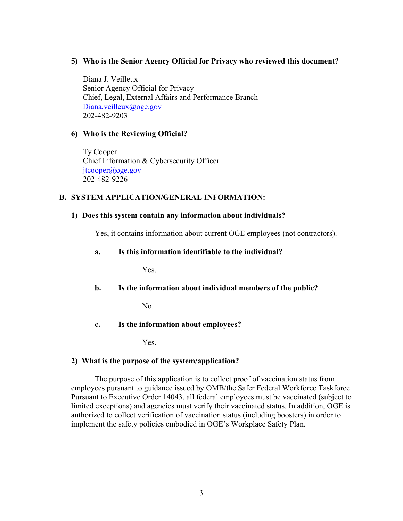#### **5) Who is the Senior Agency Official for Privacy who reviewed this document?**

Diana J. Veilleux Senior Agency Official for Privacy Chief, Legal, External Affairs and Performance Branch [Diana.veilleux@oge.gov](mailto:Diana.veilleux@oge.gov) 202-482-9203

#### **6) Who is the Reviewing Official?**

 Ty Cooper Chief Information & Cybersecurity Officer [jtcooper@oge.gov](mailto:jtcooper@oge.gov) 202-482-9226

## **B. SYSTEM APPLICATION/GENERAL INFORMATION:**

#### **1) Does this system contain any information about individuals?**

Yes, it contains information about current OGE employees (not contractors).

## **a. Is this information identifiable to the individual?**

Yes.

## **b. Is the information about individual members of the public?**

No.

## **c. Is the information about employees?**

Yes.

## **2) What is the purpose of the system/application?**

The purpose of this application is to collect proof of vaccination status from employees pursuant to guidance issued by OMB/the Safer Federal Workforce Taskforce. Pursuant to Executive Order 14043, all federal employees must be vaccinated (subject to limited exceptions) and agencies must verify their vaccinated status. In addition, OGE is authorized to collect verification of vaccination status (including boosters) in order to implement the safety policies embodied in OGE's Workplace Safety Plan.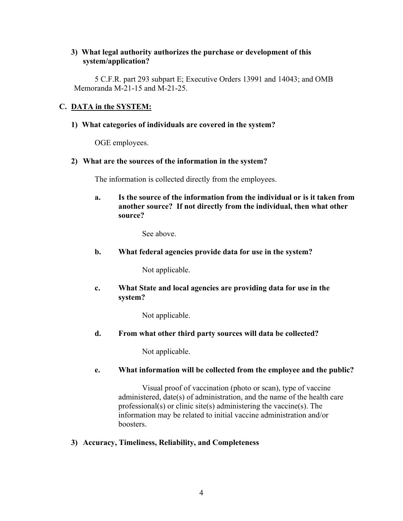## **3) What legal authority authorizes the purchase or development of this system/application?**

5 C.F.R. part 293 subpart E; Executive Orders 13991 and 14043; and OMB Memoranda M-21-15 and M-21-25.

## **C. DATA in the SYSTEM:**

## **1) What categories of individuals are covered in the system?**

OGE employees.

## **2) What are the sources of the information in the system?**

The information is collected directly from the employees.

**a. Is the source of the information from the individual or is it taken from another source? If not directly from the individual, then what other source?**

See above.

**b. What federal agencies provide data for use in the system?**

Not applicable.

**c. What State and local agencies are providing data for use in the system?**

Not applicable.

**d. From what other third party sources will data be collected?**

Not applicable.

#### **e. What information will be collected from the employee and the public?**

Visual proof of vaccination (photo or scan), type of vaccine administered, date(s) of administration, and the name of the health care professional(s) or clinic site(s) administering the vaccine(s). The information may be related to initial vaccine administration and/or boosters.

#### **3) Accuracy, Timeliness, Reliability, and Completeness**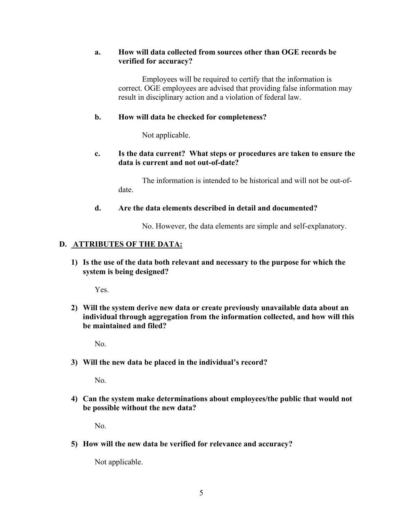## **a. How will data collected from sources other than OGE records be verified for accuracy?**

Employees will be required to certify that the information is correct. OGE employees are advised that providing false information may result in disciplinary action and a violation of federal law.

## **b. How will data be checked for completeness?**

Not applicable.

## **c. Is the data current? What steps or procedures are taken to ensure the data is current and not out-of-date?**

The information is intended to be historical and will not be out-ofdate.

## **d. Are the data elements described in detail and documented?**

No. However, the data elements are simple and self-explanatory.

## **D. ATTRIBUTES OF THE DATA:**

**1) Is the use of the data both relevant and necessary to the purpose for which the system is being designed?**

Yes.

**2) Will the system derive new data or create previously unavailable data about an individual through aggregation from the information collected, and how will this be maintained and filed?**

No.

#### **3) Will the new data be placed in the individual's record?**

No.

**4) Can the system make determinations about employees/the public that would not be possible without the new data?**

No.

**5) How will the new data be verified for relevance and accuracy?**

Not applicable.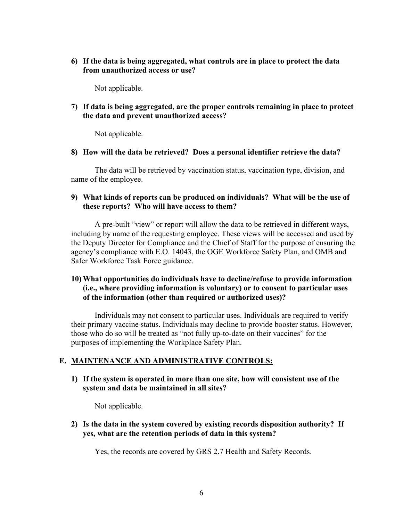**6) If the data is being aggregated, what controls are in place to protect the data from unauthorized access or use?**

Not applicable.

**7) If data is being aggregated, are the proper controls remaining in place to protect the data and prevent unauthorized access?** 

Not applicable.

**8) How will the data be retrieved? Does a personal identifier retrieve the data?**

The data will be retrieved by vaccination status, vaccination type, division, and name of the employee.

#### **9) What kinds of reports can be produced on individuals? What will be the use of these reports? Who will have access to them?**

 A pre-built "view" or report will allow the data to be retrieved in different ways, including by name of the requesting employee. These views will be accessed and used by the Deputy Director for Compliance and the Chief of Staff for the purpose of ensuring the agency's compliance with E.O. 14043, the OGE Workforce Safety Plan, and OMB and Safer Workforce Task Force guidance.

## **10) What opportunities do individuals have to decline/refuse to provide information (i.e., where providing information is voluntary) or to consent to particular uses of the information (other than required or authorized uses)?**

Individuals may not consent to particular uses. Individuals are required to verify their primary vaccine status. Individuals may decline to provide booster status. However, those who do so will be treated as "not fully up-to-date on their vaccines" for the purposes of implementing the Workplace Safety Plan.

#### **E. MAINTENANCE AND ADMINISTRATIVE CONTROLS:**

**1) If the system is operated in more than one site, how will consistent use of the system and data be maintained in all sites?**

Not applicable.

**2) Is the data in the system covered by existing records disposition authority? If yes, what are the retention periods of data in this system?**

Yes, the records are covered by GRS 2.7 Health and Safety Records.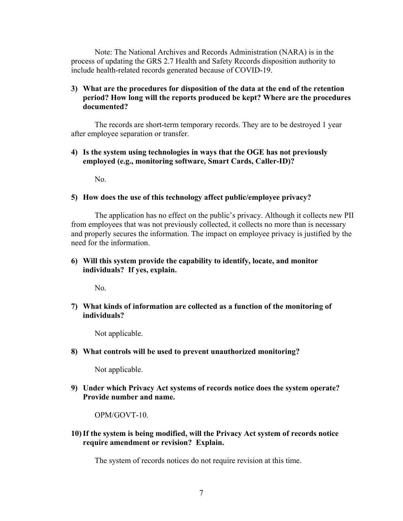Note: The National Archives and Records Administration (NARA) is in the process of updating the GRS 2.7 Health and Safety Records disposition authority to include health-related records generated because of COVID-19.

## **3) What are the procedures for disposition of the data at the end of the retention period? How long will the reports produced be kept? Where are the procedures documented?**

The records are short-term temporary records. They are to be destroyed 1 year after employee separation or transfer.

## **4) Is the system using technologies in ways that the OGE has not previously employed (e.g., monitoring software, Smart Cards, Caller-ID)?**

 $N_{\Omega}$ 

## **5) How does the use of this technology affect public/employee privacy?**

The application has no effect on the public's privacy. Although it collects new PII from employees that was not previously collected, it collects no more than is necessary and properly secures the information. The impact on employee privacy is justified by the need for the information.

## **6) Will this system provide the capability to identify, locate, and monitor individuals? If yes, explain.**

No.

## **7) What kinds of information are collected as a function of the monitoring of individuals?**

Not applicable.

#### **8) What controls will be used to prevent unauthorized monitoring?**

Not applicable.

**9) Under which Privacy Act systems of records notice does the system operate? Provide number and name.**

OPM/GOVT-10.

**10)If the system is being modified, will the Privacy Act system of records notice require amendment or revision? Explain.**

The system of records notices do not require revision at this time.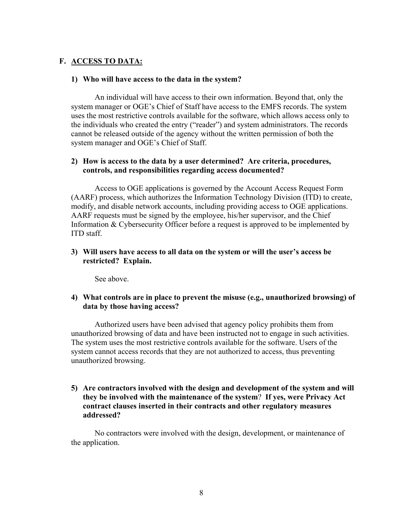## **F. ACCESS TO DATA:**

#### **1) Who will have access to the data in the system?**

An individual will have access to their own information. Beyond that, only the system manager or OGE's Chief of Staff have access to the EMFS records. The system uses the most restrictive controls available for the software, which allows access only to the individuals who created the entry ("reader") and system administrators. The records cannot be released outside of the agency without the written permission of both the system manager and OGE's Chief of Staff.

#### **2) How is access to the data by a user determined? Are criteria, procedures, controls, and responsibilities regarding access documented?**

Access to OGE applications is governed by the Account Access Request Form (AARF) process, which authorizes the Information Technology Division (ITD) to create, modify, and disable network accounts, including providing access to OGE applications. AARF requests must be signed by the employee, his/her supervisor, and the Chief Information & Cybersecurity Officer before a request is approved to be implemented by ITD staff.

#### **3) Will users have access to all data on the system or will the user's access be restricted? Explain.**

See above.

#### **4) What controls are in place to prevent the misuse (e.g., unauthorized browsing) of data by those having access?**

Authorized users have been advised that agency policy prohibits them from unauthorized browsing of data and have been instructed not to engage in such activities. The system uses the most restrictive controls available for the software. Users of the system cannot access records that they are not authorized to access, thus preventing unauthorized browsing.

#### **5) Are contractors involved with the design and development of the system and will they be involved with the maintenance of the system**? **If yes, were Privacy Act contract clauses inserted in their contracts and other regulatory measures addressed?**

No contractors were involved with the design, development, or maintenance of the application.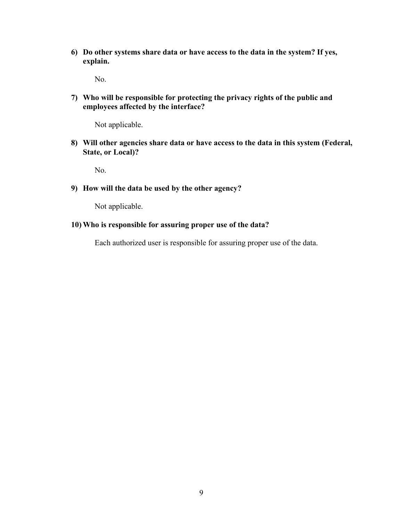**6) Do other systems share data or have access to the data in the system? If yes, explain.**

No.

**7) Who will be responsible for protecting the privacy rights of the public and employees affected by the interface?**

Not applicable.

**8) Will other agencies share data or have access to the data in this system (Federal, State, or Local)?**

No.

**9) How will the data be used by the other agency?**

Not applicable.

#### **10) Who is responsible for assuring proper use of the data?**

Each authorized user is responsible for assuring proper use of the data.